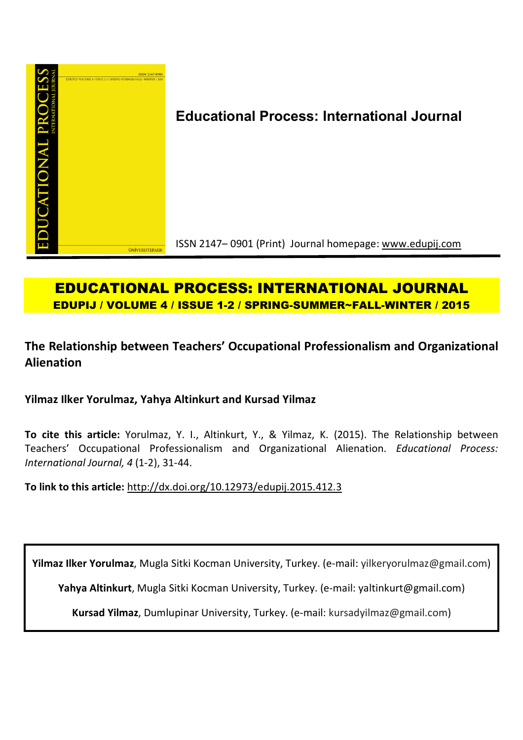

# **Educational Process: International Journal**

ISSN 2147– 0901 (Print) Journal homepage: www.edupij.com

# **EDUCATIONAL PROCESS: INTERNATIONAL JOURNAL EDUPIJ / VOLUME 4 / ISSUE 1-2 / SPRING-SUMMER~FALL-WINTER / 2015**

# **The Relationship between Teachers' Occupational Professionalism and Organizational Alienation**

**Yilmaz Ilker Yorulmaz, Yahya Altinkurt and Kursad Yilmaz**

**To cite this article:** Yorulmaz, Y. I., Altinkurt, Y., & Yilmaz, K. (2015). The Relationship between Teachers' Occupational Professionalism and Organizational Alienation. *Educational Process: International Journal, 4* (1-2), 31-44.

**To link to this article:** http://dx.doi.org/10.12973/edupij.2015.412.3

**Yilmaz Ilker Yorulmaz**, Mugla Sitki Kocman University, Turkey. (e-mail: yilkeryorulmaz@gmail.com)

**Yahya Altinkurt**, Mugla Sitki Kocman University, Turkey. (e-mail: yaltinkurt@gmail.com)

**Kursad Yilmaz**, Dumlupinar University, Turkey. (e-mail: kursadyilmaz@gmail.com)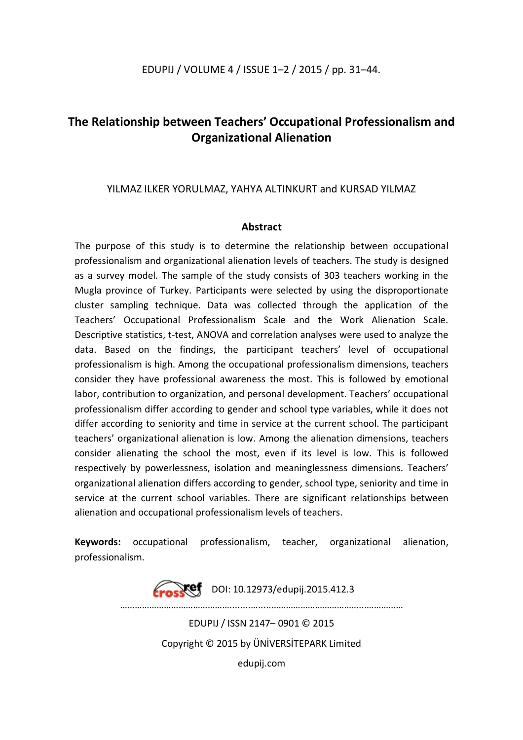## **The Relationship between Teachers' Occupational Professionalism and Organizational Alienation**

## YILMAZ ILKER YORULMAZ, YAHYA ALTINKURT and KURSAD YILMAZ

### **Abstract**

The purpose of this study is to determine the relationship between occupational professionalism and organizational alienation levels of teachers. The study is designed as a survey model. The sample of the study consists of 303 teachers working in the Mugla province of Turkey. Participants were selected by using the disproportionate cluster sampling technique. Data was collected through the application of the Teachers' Occupational Professionalism Scale and the Work Alienation Scale. Descriptive statistics, t-test, ANOVA and correlation analyses were used to analyze the data. Based on the findings, the participant teachers' level of occupational professionalism is high. Among the occupational professionalism dimensions, teachers consider they have professional awareness the most. This is followed by emotional labor, contribution to organization, and personal development. Teachers' occupational professionalism differ according to gender and school type variables, while it does not differ according to seniority and time in service at the current school. The participant teachers' organizational alienation is low. Among the alienation dimensions, teachers consider alienating the school the most, even if its level is low. This is followed respectively by powerlessness, isolation and meaninglessness dimensions. Teachers' organizational alienation differs according to gender, school type, seniority and time in service at the current school variables. There are significant relationships between alienation and occupational professionalism levels of teachers.

**Keywords:** occupational professionalism, teacher, organizational alienation, professionalism.

> $\chi$ ef DOI: 10.12973/edupij.2015.412.3 ………………………………………........….....………………………………...…………… EDUPIJ / ISSN 2147– 0901 © 2015 Copyright © 2015 by ÜNİVERSİTEPARK Limited edupij.com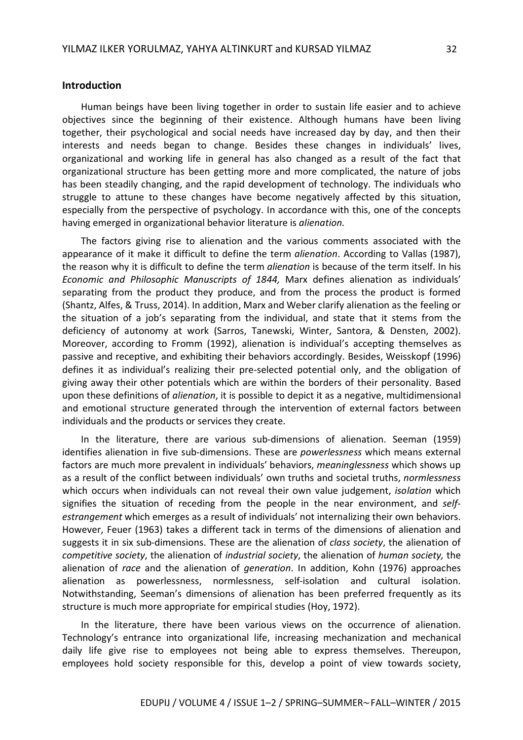#### **Introduction**

Human beings have been living together in order to sustain life easier and to achieve objectives since the beginning of their existence. Although humans have been living together, their psychological and social needs have increased day by day, and then their interests and needs began to change. Besides these changes in individuals' lives, organizational and working life in general has also changed as a result of the fact that organizational structure has been getting more and more complicated, the nature of jobs has been steadily changing, and the rapid development of technology. The individuals who struggle to attune to these changes have become negatively affected by this situation, especially from the perspective of psychology. In accordance with this, one of the concepts having emerged in organizational behavior literature is *alienation.*

The factors giving rise to alienation and the various comments associated with the appearance of it make it difficult to define the term *alienation*. According to Vallas (1987), the reason why it is difficult to define the term *alienation* is because of the term itself. In his *Economic and Philosophic Manuscripts of 1844,* Marx defines alienation as individuals' separating from the product they produce, and from the process the product is formed (Shantz, Alfes, & Truss, 2014). In addition, Marx and Weber clarify alienation as the feeling or the situation of a job's separating from the individual, and state that it stems from the deficiency of autonomy at work (Sarros, Tanewski, Winter, Santora, & Densten, 2002). Moreover, according to Fromm (1992), alienation is individual's accepting themselves as passive and receptive, and exhibiting their behaviors accordingly. Besides, Weisskopf (1996) defines it as individual's realizing their pre-selected potential only, and the obligation of giving away their other potentials which are within the borders of their personality. Based upon these definitions of *alienation*, it is possible to depict it as a negative, multidimensional and emotional structure generated through the intervention of external factors between individuals and the products or services they create.

In the literature, there are various sub-dimensions of alienation. Seeman (1959) identifies alienation in five sub-dimensions. These are *powerlessness* which means external factors are much more prevalent in individuals' behaviors, *meaninglessness* which shows up as a result of the conflict between individuals' own truths and societal truths, *normlessness* which occurs when individuals can not reveal their own value judgement, *isolation* which signifies the situation of receding from the people in the near environment, and *selfestrangement* which emerges as a result of individuals' not internalizing their own behaviors. However, Feuer (1963) takes a different tack in terms of the dimensions of alienation and suggests it in six sub-dimensions. These are the alienation of *class society*, the alienation of *competitive society*, the alienation of *industrial society*, the alienation of *human society,* the alienation of *race* and the alienation of *generation*. In addition, Kohn (1976) approaches alienation as powerlessness, normlessness, self-isolation and cultural isolation. Notwithstanding, Seeman's dimensions of alienation has been preferred frequently as its structure is much more appropriate for empirical studies (Hoy, 1972).

In the literature, there have been various views on the occurrence of alienation. Technology's entrance into organizational life, increasing mechanization and mechanical daily life give rise to employees not being able to express themselves. Thereupon, employees hold society responsible for this, develop a point of view towards society,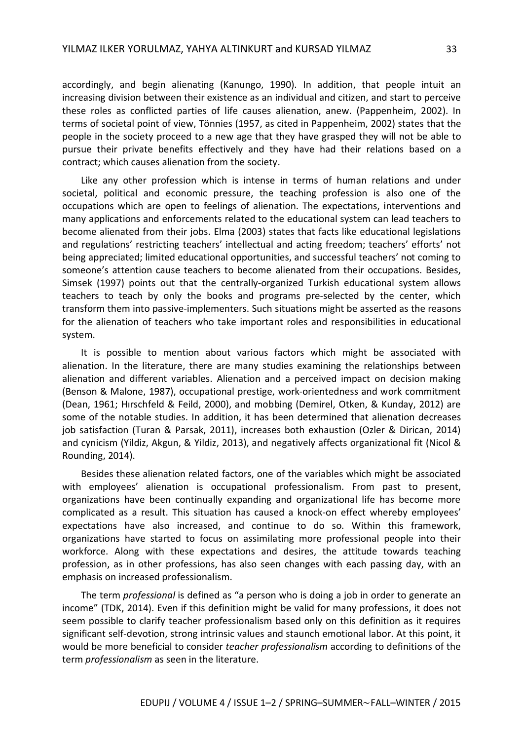accordingly, and begin alienating (Kanungo, 1990). In addition, that people intuit an increasing division between their existence as an individual and citizen, and start to perceive these roles as conflicted parties of life causes alienation, anew. (Pappenheim, 2002). In terms of societal point of view, Tönnies (1957, as cited in Pappenheim, 2002) states that the people in the society proceed to a new age that they have grasped they will not be able to pursue their private benefits effectively and they have had their relations based on a contract; which causes alienation from the society.

Like any other profession which is intense in terms of human relations and under societal, political and economic pressure, the teaching profession is also one of the occupations which are open to feelings of alienation. The expectations, interventions and many applications and enforcements related to the educational system can lead teachers to become alienated from their jobs. Elma (2003) states that facts like educational legislations and regulations' restricting teachers' intellectual and acting freedom; teachers' efforts' not being appreciated; limited educational opportunities, and successful teachers' not coming to someone's attention cause teachers to become alienated from their occupations. Besides, Simsek (1997) points out that the centrally-organized Turkish educational system allows teachers to teach by only the books and programs pre-selected by the center, which transform them into passive-implementers. Such situations might be asserted as the reasons for the alienation of teachers who take important roles and responsibilities in educational system.

It is possible to mention about various factors which might be associated with alienation. In the literature, there are many studies examining the relationships between alienation and different variables. Alienation and a perceived impact on decision making (Benson & Malone, 1987), occupational prestige, work-orientedness and work commitment (Dean, 1961; Hırschfeld & Feild, 2000), and mobbing (Demirel, Otken, & Kunday, 2012) are some of the notable studies. In addition, it has been determined that alienation decreases job satisfaction (Turan & Parsak, 2011), increases both exhaustion (Ozler & Dirican, 2014) and cynicism (Yildiz, Akgun, & Yildiz, 2013), and negatively affects organizational fit (Nicol & Rounding, 2014).

Besides these alienation related factors, one of the variables which might be associated with employees' alienation is occupational professionalism. From past to present, organizations have been continually expanding and organizational life has become more complicated as a result. This situation has caused a knock-on effect whereby employees' expectations have also increased, and continue to do so. Within this framework, organizations have started to focus on assimilating more professional people into their workforce. Along with these expectations and desires, the attitude towards teaching profession, as in other professions, has also seen changes with each passing day, with an emphasis on increased professionalism.

The term *professional* is defined as "a person who is doing a job in order to generate an income" (TDK, 2014). Even if this definition might be valid for many professions, it does not seem possible to clarify teacher professionalism based only on this definition as it requires significant self-devotion, strong intrinsic values and staunch emotional labor. At this point, it would be more beneficial to consider *teacher professionalism* according to definitions of the term *professionalism* as seen in the literature.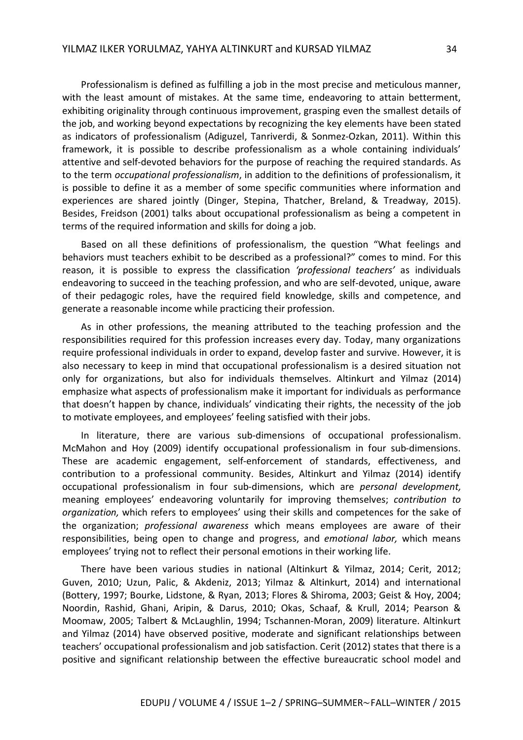Professionalism is defined as fulfilling a job in the most precise and meticulous manner, with the least amount of mistakes. At the same time, endeavoring to attain betterment, exhibiting originality through continuous improvement, grasping even the smallest details of the job, and working beyond expectations by recognizing the key elements have been stated as indicators of professionalism (Adiguzel, Tanriverdi, & Sonmez-Ozkan, 2011). Within this framework, it is possible to describe professionalism as a whole containing individuals' attentive and self-devoted behaviors for the purpose of reaching the required standards. As to the term *occupational professionalism*, in addition to the definitions of professionalism, it is possible to define it as a member of some specific communities where information and experiences are shared jointly (Dinger, Stepina, Thatcher, Breland, & Treadway, 2015). Besides, Freidson (2001) talks about occupational professionalism as being a competent in terms of the required information and skills for doing a job.

Based on all these definitions of professionalism, the question "What feelings and behaviors must teachers exhibit to be described as a professional?" comes to mind. For this reason, it is possible to express the classification *'professional teachers'* as individuals endeavoring to succeed in the teaching profession, and who are self-devoted, unique, aware of their pedagogic roles, have the required field knowledge, skills and competence, and generate a reasonable income while practicing their profession.

As in other professions, the meaning attributed to the teaching profession and the responsibilities required for this profession increases every day. Today, many organizations require professional individuals in order to expand, develop faster and survive. However, it is also necessary to keep in mind that occupational professionalism is a desired situation not only for organizations, but also for individuals themselves. Altinkurt and Yilmaz (2014) emphasize what aspects of professionalism make it important for individuals as performance that doesn't happen by chance, individuals' vindicating their rights, the necessity of the job to motivate employees, and employees' feeling satisfied with their jobs.

In literature, there are various sub-dimensions of occupational professionalism. McMahon and Hoy (2009) identify occupational professionalism in four sub-dimensions. These are academic engagement, self-enforcement of standards, effectiveness, and contribution to a professional community. Besides, Altinkurt and Yilmaz (2014) identify occupational professionalism in four sub-dimensions, which are *personal development,* meaning employees' endeavoring voluntarily for improving themselves; *contribution to organization,* which refers to employees' using their skills and competences for the sake of the organization; *professional awareness* which means employees are aware of their responsibilities, being open to change and progress, and *emotional labor,* which means employees' trying not to reflect their personal emotions in their working life.

There have been various studies in national (Altinkurt & Yilmaz, 2014; Cerit, 2012; Guven, 2010; Uzun, Palic, & Akdeniz, 2013; Yilmaz & Altinkurt, 2014) and international (Bottery, 1997; Bourke, Lidstone, & Ryan, 2013; Flores & Shiroma, 2003; Geist & Hoy, 2004; Noordin, Rashid, Ghani, Aripin, & Darus, 2010; Okas, Schaaf, & Krull, 2014; Pearson & Moomaw, 2005; Talbert & McLaughlin, 1994; Tschannen-Moran, 2009) literature. Altinkurt and Yilmaz (2014) have observed positive, moderate and significant relationships between teachers' occupational professionalism and job satisfaction. Cerit (2012) states that there is a positive and significant relationship between the effective bureaucratic school model and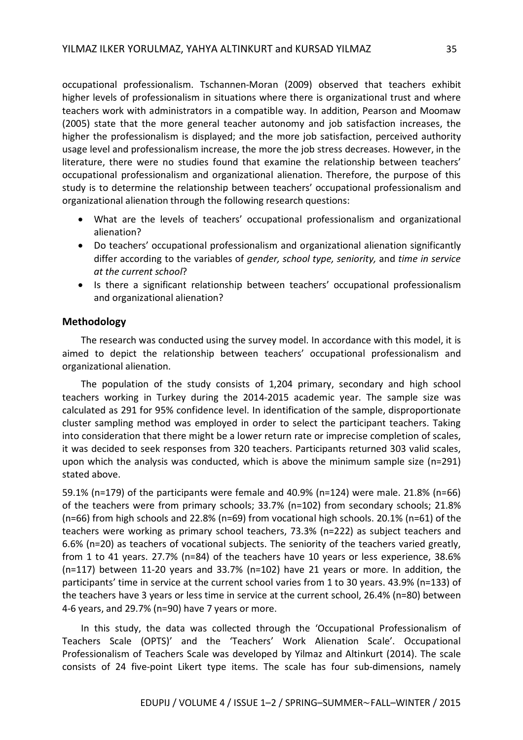occupational professionalism. Tschannen-Moran (2009) observed that teachers exhibit higher levels of professionalism in situations where there is organizational trust and where teachers work with administrators in a compatible way. In addition, Pearson and Moomaw (2005) state that the more general teacher autonomy and job satisfaction increases, the higher the professionalism is displayed; and the more job satisfaction, perceived authority usage level and professionalism increase, the more the job stress decreases. However, in the literature, there were no studies found that examine the relationship between teachers' occupational professionalism and organizational alienation. Therefore, the purpose of this study is to determine the relationship between teachers' occupational professionalism and organizational alienation through the following research questions:

- What are the levels of teachers' occupational professionalism and organizational alienation?
- Do teachers' occupational professionalism and organizational alienation significantly differ according to the variables of *gender, school type, seniority,* and *time in service at the current school*?
- Is there a significant relationship between teachers' occupational professionalism and organizational alienation?

### **Methodology**

The research was conducted using the survey model. In accordance with this model, it is aimed to depict the relationship between teachers' occupational professionalism and organizational alienation.

The population of the study consists of 1,204 primary, secondary and high school teachers working in Turkey during the 2014-2015 academic year. The sample size was calculated as 291 for 95% confidence level. In identification of the sample, disproportionate cluster sampling method was employed in order to select the participant teachers. Taking into consideration that there might be a lower return rate or imprecise completion of scales, it was decided to seek responses from 320 teachers. Participants returned 303 valid scales, upon which the analysis was conducted, which is above the minimum sample size (n=291) stated above.

59.1% (n=179) of the participants were female and 40.9% (n=124) were male. 21.8% (n=66) of the teachers were from primary schools; 33.7% (n=102) from secondary schools; 21.8% (n=66) from high schools and 22.8% (n=69) from vocational high schools. 20.1% (n=61) of the teachers were working as primary school teachers, 73.3% (n=222) as subject teachers and 6.6% (n=20) as teachers of vocational subjects. The seniority of the teachers varied greatly, from 1 to 41 years. 27.7% (n=84) of the teachers have 10 years or less experience, 38.6% (n=117) between 11-20 years and 33.7% (n=102) have 21 years or more. In addition, the participants' time in service at the current school varies from 1 to 30 years. 43.9% (n=133) of the teachers have 3 years or less time in service at the current school, 26.4% (n=80) between 4-6 years, and 29.7% (n=90) have 7 years or more.

In this study, the data was collected through the 'Occupational Professionalism of Teachers Scale (OPTS)' and the 'Teachers' Work Alienation Scale'. Occupational Professionalism of Teachers Scale was developed by Yilmaz and Altinkurt (2014). The scale consists of 24 five-point Likert type items. The scale has four sub-dimensions, namely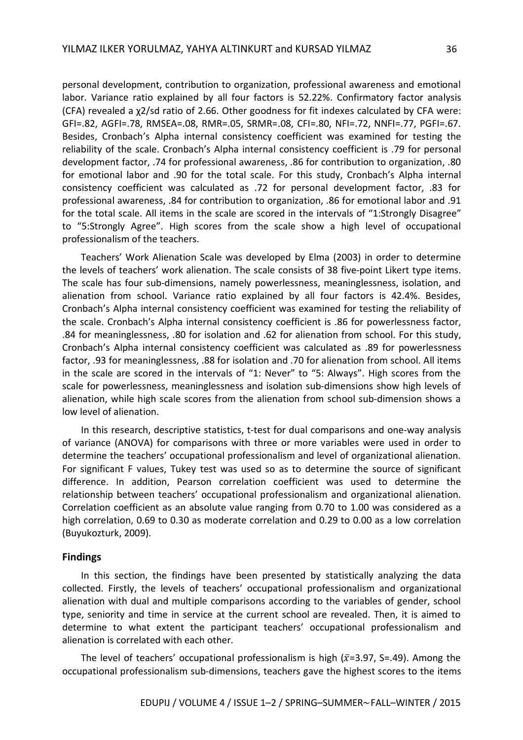personal development, contribution to organization, professional awareness and emotional labor. Variance ratio explained by all four factors is 52.22%. Confirmatory factor analysis (CFA) revealed a χ2/sd ratio of 2.66. Other goodness for fit indexes calculated by CFA were: GFI=.82, AGFI=.78, RMSEA=.08, RMR=.05, SRMR=.08, CFI=.80, NFI=.72, NNFI=.77, PGFI=.67. Besides, Cronbach's Alpha internal consistency coefficient was examined for testing the reliability of the scale. Cronbach's Alpha internal consistency coefficient is .79 for personal development factor, .74 for professional awareness, .86 for contribution to organization, .80 for emotional labor and .90 for the total scale. For this study, Cronbach's Alpha internal consistency coefficient was calculated as .72 for personal development factor, .83 for professional awareness, .84 for contribution to organization, .86 for emotional labor and .91 for the total scale. All items in the scale are scored in the intervals of "1:Strongly Disagree" to "5:Strongly Agree". High scores from the scale show a high level of occupational professionalism of the teachers.

Teachers' Work Alienation Scale was developed by Elma (2003) in order to determine the levels of teachers' work alienation. The scale consists of 38 five-point Likert type items. The scale has four sub-dimensions, namely powerlessness, meaninglessness, isolation, and alienation from school. Variance ratio explained by all four factors is 42.4%. Besides, Cronbach's Alpha internal consistency coefficient was examined for testing the reliability of the scale. Cronbach's Alpha internal consistency coefficient is .86 for powerlessness factor, .84 for meaninglessness, .80 for isolation and .62 for alienation from school. For this study, Cronbach's Alpha internal consistency coefficient was calculated as .89 for powerlessness factor, .93 for meaninglessness, .88 for isolation and .70 for alienation from school. All items in the scale are scored in the intervals of "1: Never" to "5: Always". High scores from the scale for powerlessness, meaninglessness and isolation sub-dimensions show high levels of alienation, while high scale scores from the alienation from school sub-dimension shows a low level of alienation.

In this research, descriptive statistics, t-test for dual comparisons and one-way analysis of variance (ANOVA) for comparisons with three or more variables were used in order to determine the teachers' occupational professionalism and level of organizational alienation. For significant F values, Tukey test was used so as to determine the source of significant difference. In addition, Pearson correlation coefficient was used to determine the relationship between teachers' occupational professionalism and organizational alienation. Correlation coefficient as an absolute value ranging from 0.70 to 1.00 was considered as a high correlation, 0.69 to 0.30 as moderate correlation and 0.29 to 0.00 as a low correlation (Buyukozturk, 2009).

#### **Findings**

In this section, the findings have been presented by statistically analyzing the data collected. Firstly, the levels of teachers' occupational professionalism and organizational alienation with dual and multiple comparisons according to the variables of gender, school type, seniority and time in service at the current school are revealed. Then, it is aimed to determine to what extent the participant teachers' occupational professionalism and alienation is correlated with each other.

The level of teachers' occupational professionalism is high ( $\bar{x}$ =3.97, S=.49). Among the occupational professionalism sub-dimensions, teachers gave the highest scores to the items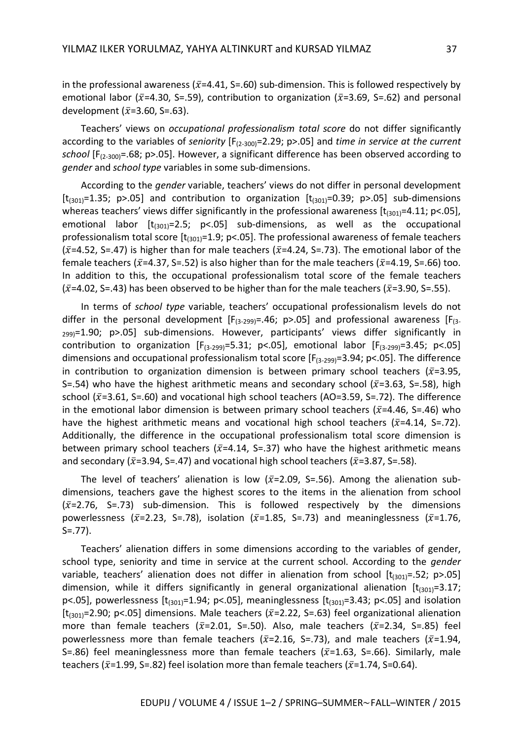in the professional awareness ( $\bar{x}$ =4.41, S=.60) sub-dimension. This is followed respectively by emotional labor ( $\bar{x}$ =4.30, S=.59), contribution to organization ( $\bar{x}$ =3.69, S=.62) and personal development ( $\bar{x}$ =3.60, S=.63).

Teachers' views on *occupational professionalism total score* do not differ significantly according to the variables of *seniority* [F(2-300)=2.29; p>.05] and *time in service at the current school* [F(2-300)=.68; p>.05]. However, a significant difference has been observed according to *gender* and *school type* variables in some sub-dimensions.

According to the *gender* variable, teachers' views do not differ in personal development [ $t_{(301)}$ =1.35; p>.05] and contribution to organization  $[t_{(301)}$ =0.39; p>.05] sub-dimensions whereas teachers' views differ significantly in the professional awareness  $[t<sub>(301)</sub>=4.11; p<.05]$ , emotional labor  $[t_{(301)}=2.5; p<.05]$  sub-dimensions, as well as the occupational professionalism total score  $[t_{(301)}=1.9; p<.05]$ . The professional awareness of female teachers ( $\bar{x}$ =4.52, S=.47) is higher than for male teachers ( $\bar{x}$ =4.24, S=.73). The emotional labor of the female teachers ( $\bar{x}$ =4.37, S=.52) is also higher than for the male teachers ( $\bar{x}$ =4.19, S=.66) too. In addition to this, the occupational professionalism total score of the female teachers  $(\bar{x}=4.02, S=.43)$  has been observed to be higher than for the male teachers ( $\bar{x}=3.90, S=.55$ ).

In terms of *school type* variable, teachers' occupational professionalism levels do not differ in the personal development  $[F_{(3-299)}=.46; p>0.05]$  and professional awareness  $[F_{(3-199)}]$  $_{299}$ =1.90; p>.05] sub-dimensions. However, participants' views differ significantly in contribution to organization  $[F_{(3-299)}=5.31; p<.05]$ , emotional labor  $[F_{(3-299)}=3.45; p<.05]$ dimensions and occupational professionalism total score  $[F_{(3-299)}=3.94; p<.05]$ . The difference in contribution to organization dimension is between primary school teachers ( $\bar{x}$ =3.95, S=.54) who have the highest arithmetic means and secondary school ( $\bar{x}$ =3.63, S=.58), high school ( $\bar{x}$ =3.61, S=.60) and vocational high school teachers (AO=3.59, S=.72). The difference in the emotional labor dimension is between primary school teachers ( $\bar{x}$ =4.46, S=.46) who have the highest arithmetic means and vocational high school teachers ( $\bar{x}$ =4.14, S=.72). Additionally, the difference in the occupational professionalism total score dimension is between primary school teachers ( $\bar{x}$ =4.14, S=.37) who have the highest arithmetic means and secondary ( $\bar{x}$ =3.94, S=.47) and vocational high school teachers ( $\bar{x}$ =3.87, S=.58).

The level of teachers' alienation is low ( $\bar{x}$ =2.09, S=.56). Among the alienation subdimensions, teachers gave the highest scores to the items in the alienation from school  $(\bar{x}=2.76, S=.73)$  sub-dimension. This is followed respectively by the dimensions powerlessness ( $\bar{x}$ =2.23, S=.78), isolation ( $\bar{x}$ =1.85, S=.73) and meaninglessness ( $\bar{x}$ =1.76, S=.77).

Teachers' alienation differs in some dimensions according to the variables of gender, school type, seniority and time in service at the current school. According to the *gender* variable, teachers' alienation does not differ in alienation from school  $[t_{(301)} = .52; p > .05]$ dimension, while it differs significantly in general organizational alienation  $[t<sub>(301)</sub>=3.17;$ p<.05], powerlessness  $[t<sub>(301)</sub>=1.94; p<.05]$ , meaninglessness  $[t<sub>(301)</sub>=3.43; p<.05]$  and isolation [ $t_{(301)}$ =2.90; p<.05] dimensions. Male teachers ( $\bar{x}$ =2.22, S=.63) feel organizational alienation more than female teachers ( $\bar{x}$ =2.01, S=.50). Also, male teachers ( $\bar{x}$ =2.34, S=.85) feel powerlessness more than female teachers ( $\bar{x}$ =2.16, S=.73), and male teachers ( $\bar{x}$ =1.94, S=.86) feel meaninglessness more than female teachers ( $\bar{x}$ =1.63, S=.66). Similarly, male teachers ( $\bar{x}$ =1.99, S=.82) feel isolation more than female teachers ( $\bar{x}$ =1.74, S=0.64).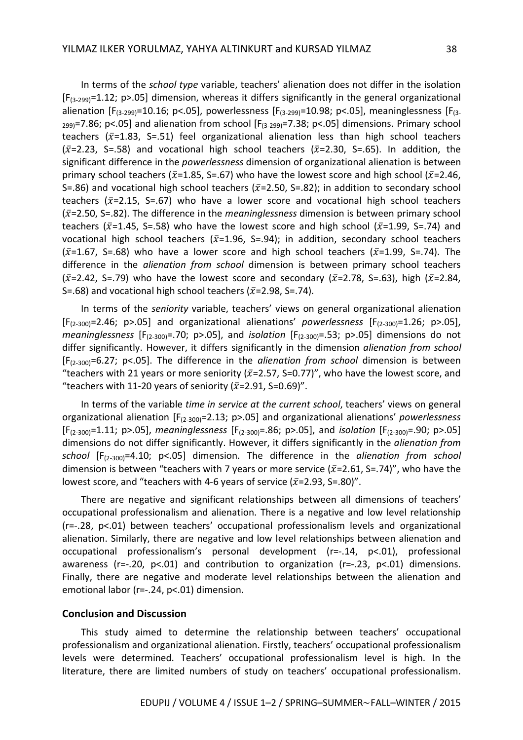In terms of the *school type* variable, teachers' alienation does not differ in the isolation  $[F_{(3-299)}=1.12; p>0.05]$  dimension, whereas it differs significantly in the general organizational alienation [F<sub>(3-299)</sub>=10.16; p<.05], powerlessness [F<sub>(3-299)</sub>=10.98; p<.05], meaninglessness [F<sub>(3-</sub>  $_{299}$ =7.86; p<.05] and alienation from school [F<sub>(3-299)</sub>=7.38; p<.05] dimensions. Primary school teachers ( $\bar{x}$ =1.83, S=.51) feel organizational alienation less than high school teachers  $(\bar{x}=2.23, S=.58)$  and vocational high school teachers ( $\bar{x}=2.30, S=.65$ ). In addition, the significant difference in the *powerlessness* dimension of organizational alienation is between primary school teachers ( $\bar{x}$ =1.85, S=.67) who have the lowest score and high school ( $\bar{x}$ =2.46, S=.86) and vocational high school teachers ( $\bar{x}$ =2.50, S=.82); in addition to secondary school teachers ( $\bar{x}$ =2.15, S=.67) who have a lower score and vocational high school teachers (ݔ̅=2.50, S=.82). The difference in the *meaninglessness* dimension is between primary school teachers ( $\bar{x}$ =1.45, S=.58) who have the lowest score and high school ( $\bar{x}$ =1.99, S=.74) and vocational high school teachers ( $\bar{x}$ =1.96, S=.94); in addition, secondary school teachers  $(\bar{x}=1.67, S=.68)$  who have a lower score and high school teachers ( $\bar{x}=1.99$ , S=.74). The difference in the *alienation from school* dimension is between primary school teachers ( $\bar{x}$ =2.42, S=.79) who have the lowest score and secondary ( $\bar{x}$ =2.78, S=.63), high ( $\bar{x}$ =2.84, S=.68) and vocational high school teachers ( $\bar{x}$ =2.98, S=.74).

In terms of the *seniority* variable, teachers' views on general organizational alienation [F(2-300)=2.46; p>.05] and organizational alienations' *powerlessness* [F(2-300)=1.26; p>.05], *meaninglessness* [F<sub>(2-300</sub>)=.70; p>.05], and *isolation* [F<sub>(2-300</sub>)=.53; p>.05] dimensions do not differ significantly. However, it differs significantly in the dimension *alienation from school* [F(2-300)=6.27; p<.05]. The difference in the *alienation from school* dimension is between "teachers with 21 years or more seniority ( $\bar{x}$ =2.57, S=0.77)", who have the lowest score, and "teachers with 11-20 years of seniority ( $\bar{x}$ =2.91, S=0.69)".

In terms of the variable *time in service at the current school*, teachers' views on general organizational alienation [F(2-300)=2.13; p>.05] and organizational alienations' *powerlessness*  [F(2-300)=1.11; p>.05], *meaninglessness* [F(2-300)=.86; p>.05], and *isolation* [F(2-300)=.90; p>.05] dimensions do not differ significantly. However, it differs significantly in the *alienation from school* [F(2-300)=4.10; p<.05] dimension. The difference in the *alienation from school* dimension is between "teachers with 7 years or more service ( $\bar{x}$ =2.61, S=.74)", who have the lowest score, and "teachers with 4-6 years of service ( $\bar{x}$ =2.93, S=.80)".

There are negative and significant relationships between all dimensions of teachers' occupational professionalism and alienation. There is a negative and low level relationship (r=-.28, p<.01) between teachers' occupational professionalism levels and organizational alienation. Similarly, there are negative and low level relationships between alienation and occupational professionalism's personal development (r=-.14, p<.01), professional awareness (r=-.20, p<.01) and contribution to organization (r=-.23, p<.01) dimensions. Finally, there are negative and moderate level relationships between the alienation and emotional labor (r=-.24, p<.01) dimension.

#### **Conclusion and Discussion**

This study aimed to determine the relationship between teachers' occupational professionalism and organizational alienation. Firstly, teachers' occupational professionalism levels were determined. Teachers' occupational professionalism level is high. In the literature, there are limited numbers of study on teachers' occupational professionalism.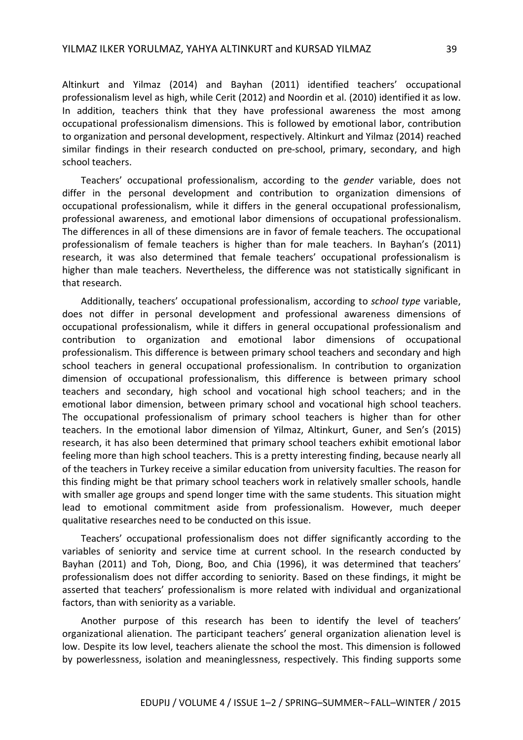Altinkurt and Yilmaz (2014) and Bayhan (2011) identified teachers' occupational professionalism level as high, while Cerit (2012) and Noordin et al. (2010) identified it as low. In addition, teachers think that they have professional awareness the most among occupational professionalism dimensions. This is followed by emotional labor, contribution to organization and personal development, respectively. Altinkurt and Yilmaz (2014) reached similar findings in their research conducted on pre-school, primary, secondary, and high school teachers.

Teachers' occupational professionalism, according to the *gender* variable, does not differ in the personal development and contribution to organization dimensions of occupational professionalism, while it differs in the general occupational professionalism, professional awareness, and emotional labor dimensions of occupational professionalism. The differences in all of these dimensions are in favor of female teachers. The occupational professionalism of female teachers is higher than for male teachers. In Bayhan's (2011) research, it was also determined that female teachers' occupational professionalism is higher than male teachers. Nevertheless, the difference was not statistically significant in that research.

Additionally, teachers' occupational professionalism, according to *school type* variable, does not differ in personal development and professional awareness dimensions of occupational professionalism, while it differs in general occupational professionalism and contribution to organization and emotional labor dimensions of occupational professionalism. This difference is between primary school teachers and secondary and high school teachers in general occupational professionalism. In contribution to organization dimension of occupational professionalism, this difference is between primary school teachers and secondary, high school and vocational high school teachers; and in the emotional labor dimension, between primary school and vocational high school teachers. The occupational professionalism of primary school teachers is higher than for other teachers. In the emotional labor dimension of Yilmaz, Altinkurt, Guner, and Sen's (2015) research, it has also been determined that primary school teachers exhibit emotional labor feeling more than high school teachers. This is a pretty interesting finding, because nearly all of the teachers in Turkey receive a similar education from university faculties. The reason for this finding might be that primary school teachers work in relatively smaller schools, handle with smaller age groups and spend longer time with the same students. This situation might lead to emotional commitment aside from professionalism. However, much deeper qualitative researches need to be conducted on this issue.

Teachers' occupational professionalism does not differ significantly according to the variables of seniority and service time at current school. In the research conducted by Bayhan (2011) and Toh, Diong, Boo, and Chia (1996), it was determined that teachers' professionalism does not differ according to seniority. Based on these findings, it might be asserted that teachers' professionalism is more related with individual and organizational factors, than with seniority as a variable.

Another purpose of this research has been to identify the level of teachers' organizational alienation. The participant teachers' general organization alienation level is low. Despite its low level, teachers alienate the school the most. This dimension is followed by powerlessness, isolation and meaninglessness, respectively. This finding supports some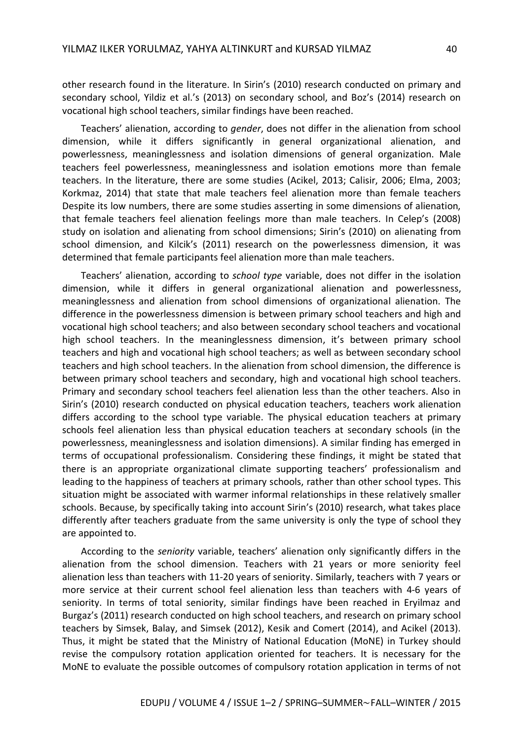other research found in the literature. In Sirin's (2010) research conducted on primary and secondary school, Yildiz et al.'s (2013) on secondary school, and Boz's (2014) research on vocational high school teachers, similar findings have been reached.

Teachers' alienation, according to *gender*, does not differ in the alienation from school dimension, while it differs significantly in general organizational alienation, and powerlessness, meaninglessness and isolation dimensions of general organization. Male teachers feel powerlessness, meaninglessness and isolation emotions more than female teachers. In the literature, there are some studies (Acikel, 2013; Calisir, 2006; Elma, 2003; Korkmaz, 2014) that state that male teachers feel alienation more than female teachers Despite its low numbers, there are some studies asserting in some dimensions of alienation, that female teachers feel alienation feelings more than male teachers. In Celep's (2008) study on isolation and alienating from school dimensions; Sirin's (2010) on alienating from school dimension, and Kilcik's (2011) research on the powerlessness dimension, it was determined that female participants feel alienation more than male teachers.

Teachers' alienation, according to *school type* variable, does not differ in the isolation dimension, while it differs in general organizational alienation and powerlessness, meaninglessness and alienation from school dimensions of organizational alienation. The difference in the powerlessness dimension is between primary school teachers and high and vocational high school teachers; and also between secondary school teachers and vocational high school teachers. In the meaninglessness dimension, it's between primary school teachers and high and vocational high school teachers; as well as between secondary school teachers and high school teachers. In the alienation from school dimension, the difference is between primary school teachers and secondary, high and vocational high school teachers. Primary and secondary school teachers feel alienation less than the other teachers. Also in Sirin's (2010) research conducted on physical education teachers, teachers work alienation differs according to the school type variable. The physical education teachers at primary schools feel alienation less than physical education teachers at secondary schools (in the powerlessness, meaninglessness and isolation dimensions). A similar finding has emerged in terms of occupational professionalism. Considering these findings, it might be stated that there is an appropriate organizational climate supporting teachers' professionalism and leading to the happiness of teachers at primary schools, rather than other school types. This situation might be associated with warmer informal relationships in these relatively smaller schools. Because, by specifically taking into account Sirin's (2010) research, what takes place differently after teachers graduate from the same university is only the type of school they are appointed to.

According to the *seniority* variable, teachers' alienation only significantly differs in the alienation from the school dimension. Teachers with 21 years or more seniority feel alienation less than teachers with 11-20 years of seniority. Similarly, teachers with 7 years or more service at their current school feel alienation less than teachers with 4-6 years of seniority. In terms of total seniority, similar findings have been reached in Eryilmaz and Burgaz's (2011) research conducted on high school teachers, and research on primary school teachers by Simsek, Balay, and Simsek (2012), Kesik and Comert (2014), and Acikel (2013). Thus, it might be stated that the Ministry of National Education (MoNE) in Turkey should revise the compulsory rotation application oriented for teachers. It is necessary for the MoNE to evaluate the possible outcomes of compulsory rotation application in terms of not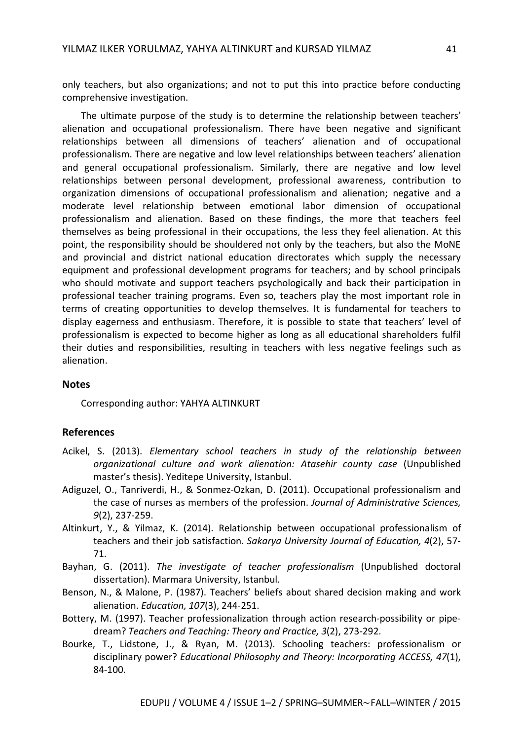only teachers, but also organizations; and not to put this into practice before conducting comprehensive investigation.

The ultimate purpose of the study is to determine the relationship between teachers' alienation and occupational professionalism. There have been negative and significant relationships between all dimensions of teachers' alienation and of occupational professionalism. There are negative and low level relationships between teachers' alienation and general occupational professionalism. Similarly, there are negative and low level relationships between personal development, professional awareness, contribution to organization dimensions of occupational professionalism and alienation; negative and a moderate level relationship between emotional labor dimension of occupational professionalism and alienation. Based on these findings, the more that teachers feel themselves as being professional in their occupations, the less they feel alienation. At this point, the responsibility should be shouldered not only by the teachers, but also the MoNE and provincial and district national education directorates which supply the necessary equipment and professional development programs for teachers; and by school principals who should motivate and support teachers psychologically and back their participation in professional teacher training programs. Even so, teachers play the most important role in terms of creating opportunities to develop themselves. It is fundamental for teachers to display eagerness and enthusiasm. Therefore, it is possible to state that teachers' level of professionalism is expected to become higher as long as all educational shareholders fulfil their duties and responsibilities, resulting in teachers with less negative feelings such as alienation.

#### **Notes**

Corresponding author: YAHYA ALTINKURT

#### **References**

- Acikel, S. (2013). *Elementary school teachers in study of the relationship between organizational culture and work alienation: Atasehir county case* (Unpublished master's thesis). Yeditepe University, Istanbul.
- Adiguzel, O., Tanriverdi, H., & Sonmez-Ozkan, D. (2011). Occupational professionalism and the case of nurses as members of the profession. *Journal of Administrative Sciences, 9*(2), 237-259.
- Altinkurt, Y., & Yilmaz, K. (2014). Relationship between occupational professionalism of teachers and their job satisfaction. *Sakarya University Journal of Education, 4*(2), 57- 71.
- Bayhan, G. (2011). *The investigate of teacher professionalism* (Unpublished doctoral dissertation). Marmara University, Istanbul.
- Benson, N., & Malone, P. (1987). Teachers' beliefs about shared decision making and work alienation. *Education, 107*(3), 244-251.
- Bottery, M. (1997). Teacher professionalization through action research-possibility or pipedream? *Teachers and Teaching: Theory and Practice, 3*(2), 273-292.
- Bourke, T., Lidstone, J., & Ryan, M. (2013). Schooling teachers: professionalism or disciplinary power? *Educational Philosophy and Theory: Incorporating ACCESS, 47*(1), 84-100.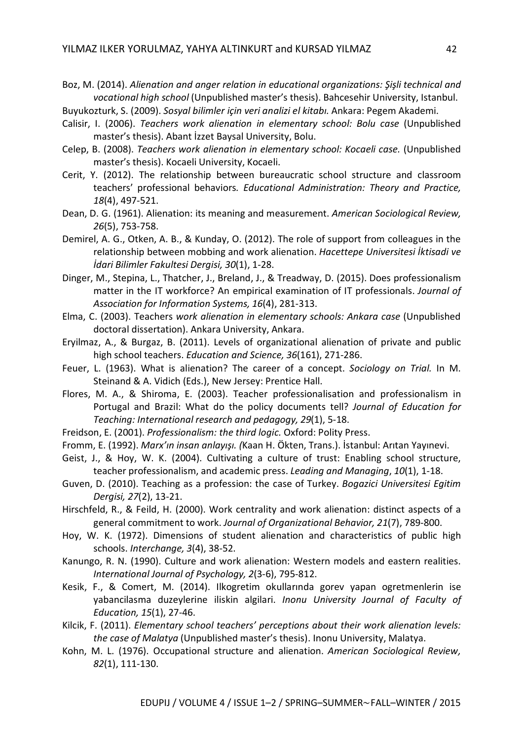Boz, M. (2014). *Alienation and anger relation in educational organizations: Şişli technical and vocational high school* (Unpublished master's thesis). Bahcesehir University, Istanbul.

Buyukozturk, S. (2009). *Sosyal bilimler için veri analizi el kitabı.* Ankara: Pegem Akademi.

- Calisir, I. (2006). *Teachers work alienation in elementary school: Bolu case* (Unpublished master's thesis). Abant İzzet Baysal University, Bolu.
- Celep, B. (2008). *Teachers work alienation in elementary school: Kocaeli case.* (Unpublished master's thesis). Kocaeli University, Kocaeli.
- Cerit, Y. (2012). The relationship between bureaucratic school structure and classroom teachers' professional behaviors*. Educational Administration: Theory and Practice, 18*(4), 497-521.
- Dean, D. G. (1961). Alienation: its meaning and measurement. *American Sociological Review, 26*(5), 753-758.
- Demirel, A. G., Otken, A. B., & Kunday, O. (2012). The role of support from colleagues in the relationship between mobbing and work alienation. *Hacettepe Universitesi İktisadi ve İdari Bilimler Fakultesi Dergisi, 30*(1), 1-28.
- Dinger, M., Stepina, L., Thatcher, J., Breland, J., & Treadway, D. (2015). Does professionalism matter in the IT workforce? An empirical examination of IT professionals. *Journal of Association for Information Systems, 16*(4), 281-313.
- Elma, C. (2003). Teachers *work alienation in elementary schools: Ankara case* (Unpublished doctoral dissertation). Ankara University, Ankara.
- Eryilmaz, A., & Burgaz, B. (2011). Levels of organizational alienation of private and public high school teachers. *Education and Science, 36*(161), 271-286.
- Feuer, L. (1963). What is alienation? The career of a concept. *Sociology on Trial.* In M. Steinand & A. Vidich (Eds.), New Jersey: Prentice Hall.
- Flores, M. A., & Shiroma, E. (2003). Teacher professionalisation and professionalism in Portugal and Brazil: What do the policy documents tell? *Journal of Education for Teaching: International research and pedagogy, 29*(1), 5-18.
- Freidson, E. (2001). *Professionalism: the third logic.* Oxford: Polity Press.
- Fromm, E. (1992). *Marx'ın insan anlayışı. (*Kaan H. Ökten, Trans.). İstanbul: Arıtan Yayınevi.
- Geist, J., & Hoy, W. K. (2004). Cultivating a culture of trust: Enabling school structure, teacher professionalism, and academic press. *Leading and Managing*, *10*(1), 1-18.
- Guven, D. (2010). Teaching as a profession: the case of Turkey. *Bogazici Universitesi Egitim Dergisi, 27*(2), 13-21.
- Hirschfeld, R., & Feild, H. (2000). Work centrality and work alienation: distinct aspects of a general commitment to work. *Journal of Organizational Behavior, 21*(7), 789-800.
- Hoy, W. K. (1972). Dimensions of student alienation and characteristics of public high schools. *Interchange, 3*(4), 38-52.
- Kanungo, R. N. (1990). Culture and work alienation: Western models and eastern realities. *International Journal of Psychology, 2*(3-6), 795-812.
- Kesik, F., & Comert, M. (2014). Ilkogretim okullarında gorev yapan ogretmenlerin ise yabancilasma duzeylerine iliskin algilari. *Inonu University Journal of Faculty of Education, 15*(1), 27-46.
- Kilcik, F. (2011). *Elementary school teachers' perceptions about their work alienation levels: the case of Malatya* (Unpublished master's thesis). Inonu University, Malatya.
- Kohn, M. L. (1976). Occupational structure and alienation. *American Sociological Review, 82*(1), 111-130.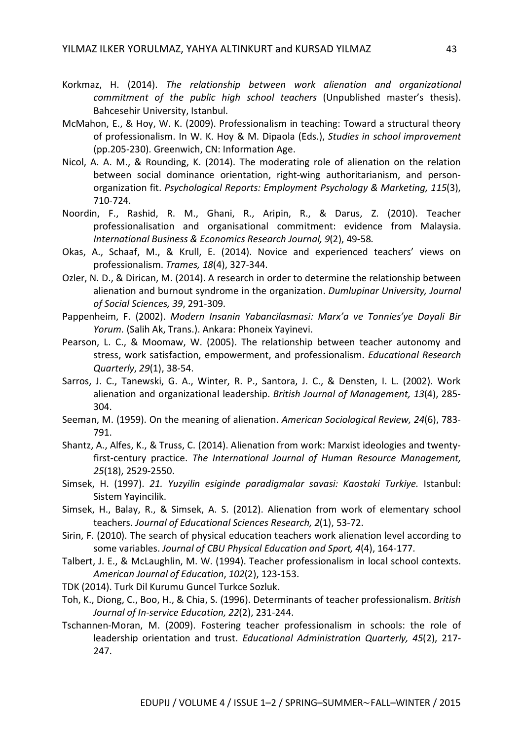- Korkmaz, H. (2014). *The relationship between work alienation and organizational commitment of the public high school teachers* (Unpublished master's thesis). Bahcesehir University, Istanbul.
- McMahon, E., & Hoy, W. K. (2009). Professionalism in teaching: Toward a structural theory of professionalism. In W. K. Hoy & M. Dipaola (Eds.), *Studies in school improvement* (pp.205-230). Greenwich, CN: Information Age.
- Nicol, A. A. M., & Rounding, K. (2014). The moderating role of alienation on the relation between social dominance orientation, right-wing authoritarianism, and personorganization fit. *Psychological Reports: Employment Psychology & Marketing, 115*(3), 710-724.
- Noordin, F., Rashid, R. M., Ghani, R., Aripin, R., & Darus, Z. (2010). Teacher professionalisation and organisational commitment: evidence from Malaysia. *International Business & Economics Research Journal, 9*(2), 49-58*.*
- Okas, A., Schaaf, M., & Krull, E. (2014). Novice and experienced teachers' views on professionalism. *Trames, 18*(4), 327-344.
- Ozler, N. D., & Dirican, M. (2014). A research in order to determine the relationship between alienation and burnout syndrome in the organization. *Dumlupinar University, Journal of Social Sciences, 39*, 291-309.
- Pappenheim, F. (2002). *Modern Insanin Yabancilasmasi: Marx'a ve Tonnies'ye Dayali Bir Yorum.* (Salih Ak, Trans.). Ankara: Phoneix Yayinevi.
- Pearson, L. C., & Moomaw, W. (2005). The relationship between teacher autonomy and stress, work satisfaction, empowerment, and professionalism. *Educational Research Quarterly*, *29*(1), 38-54.
- Sarros, J. C., Tanewski, G. A., Winter, R. P., Santora, J. C., & Densten, I. L. (2002). Work alienation and organizational leadership. *British Journal of Management, 13*(4), 285- 304.
- Seeman, M. (1959). On the meaning of alienation. *American Sociological Review, 24*(6), 783- 791.
- Shantz, A., Alfes, K., & Truss, C. (2014). Alienation from work: Marxist ideologies and twentyfirst-century practice. *The International Journal of Human Resource Management, 25*(18), 2529-2550.
- Simsek, H. (1997). *21. Yuzyilin esiginde paradigmalar savasi: Kaostaki Turkiye.* Istanbul: Sistem Yayincilik.
- Simsek, H., Balay, R., & Simsek, A. S. (2012). Alienation from work of elementary school teachers. *Journal of Educational Sciences Research, 2*(1), 53-72.
- Sirin, F. (2010). The search of physical education teachers work alienation level according to some variables. *Journal of CBU Physical Education and Sport, 4*(4), 164-177.
- Talbert, J. E., & McLaughlin, M. W. (1994). Teacher professionalism in local school contexts. *American Journal of Education*, *102*(2), 123-153.
- TDK (2014). Turk Dil Kurumu Guncel Turkce Sozluk.
- Toh, K., Diong, C., Boo, H., & Chia, S. (1996). Determinants of teacher professionalism. *British Journal of In-service Education, 22*(2), 231-244.
- Tschannen-Moran, M. (2009). Fostering teacher professionalism in schools: the role of leadership orientation and trust. *Educational Administration Quarterly, 45*(2), 217- 247.